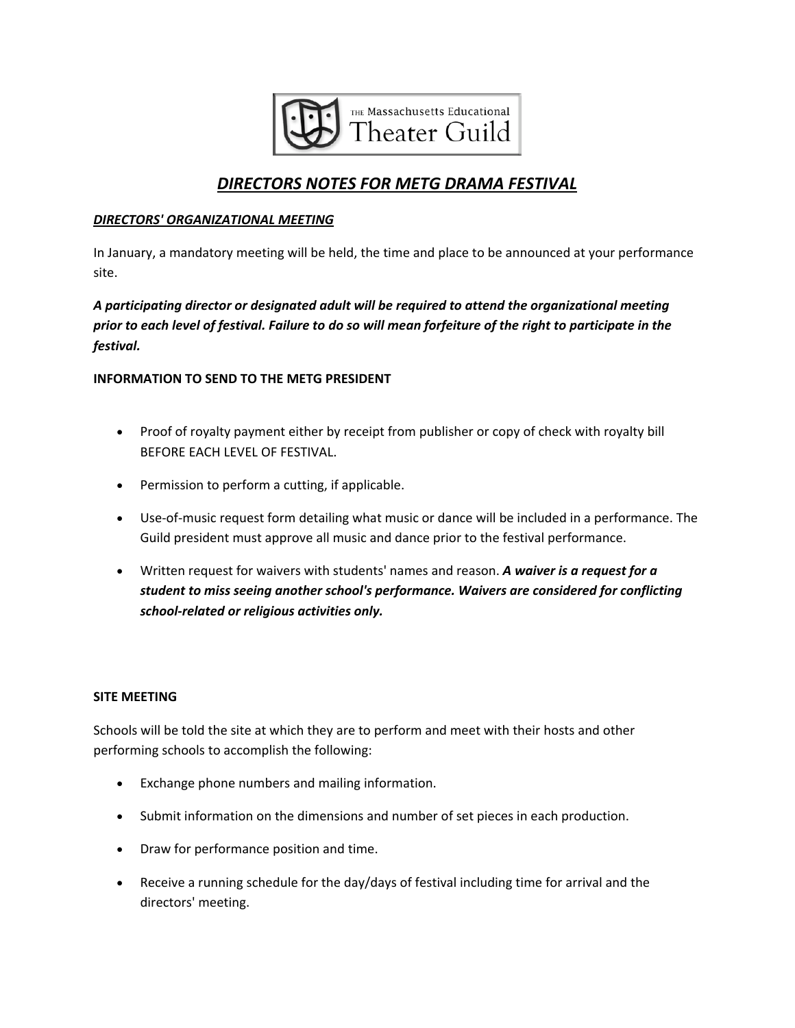

# *DIRECTORS NOTES FOR METG DRAMA FESTIVAL*

#### *DIRECTORS' ORGANIZATIONAL MEETING*

In January, a mandatory meeting will be held, the time and place to be announced at your performance site.

*A participating director or designated adult will be required to attend the organizational meeting* prior to each level of festival. Failure to do so will mean forfeiture of the right to participate in the *festival.*

# **INFORMATION TO SEND TO THE METG PRESIDENT**

- Proof of royalty payment either by receipt from publisher or copy of check with royalty bill BEFORE EACH LEVEL OF FESTIVAL.
- Permission to perform a cutting, if applicable.
- Use‐of‐music request form detailing what music or dance will be included in a performance. The Guild president must approve all music and dance prior to the festival performance.
- Written request for waivers with students' names and reason. *A waiver is a request for a student to miss seeing another school's performance. Waivers are considered for conflicting school‐related or religious activities only.*

# **SITE MEETING**

Schools will be told the site at which they are to perform and meet with their hosts and other performing schools to accomplish the following:

- Exchange phone numbers and mailing information.
- Submit information on the dimensions and number of set pieces in each production.
- Draw for performance position and time.
- Receive a running schedule for the day/days of festival including time for arrival and the directors' meeting.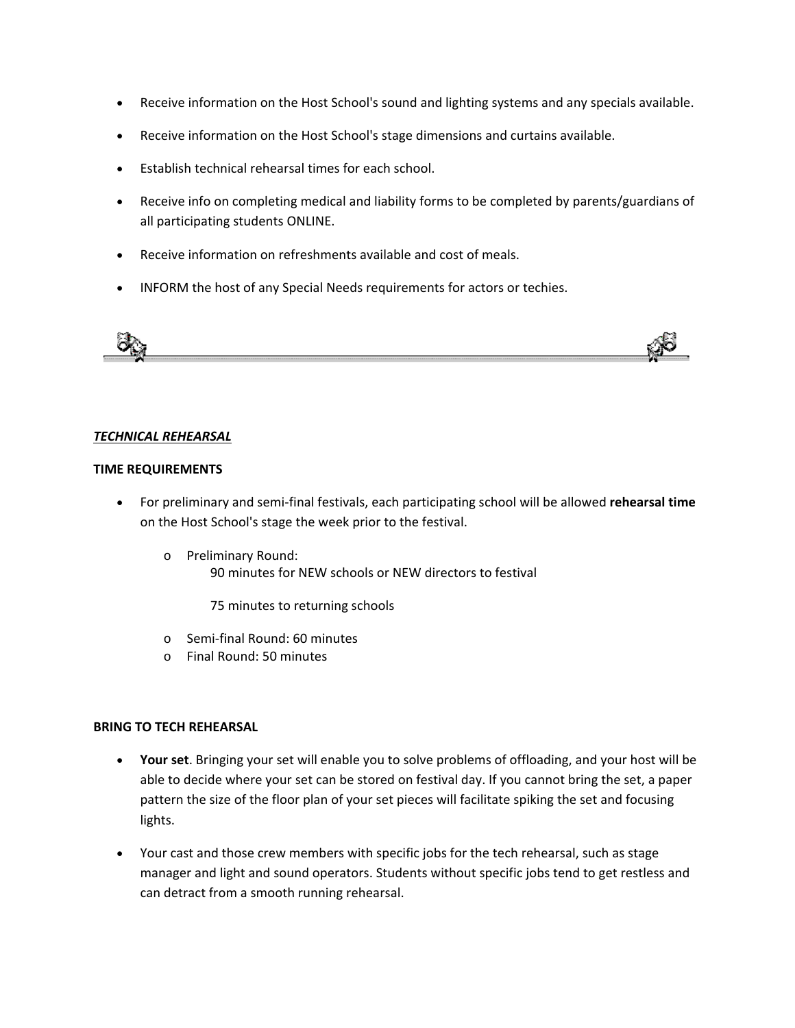- Receive information on the Host School's sound and lighting systems and any specials available.
- Receive information on the Host School's stage dimensions and curtains available.
- Establish technical rehearsal times for each school.
- Receive info on completing medical and liability forms to be completed by parents/guardians of all participating students ONLINE.
- Receive information on refreshments available and cost of meals.
- INFORM the host of any Special Needs requirements for actors or techies.



#### *TECHNICAL REHEARSAL*

#### **TIME REQUIREMENTS**

- For preliminary and semi‐final festivals, each participating school will be allowed **rehearsal time** on the Host School's stage the week prior to the festival.
	- o Preliminary Round: 90 minutes for NEW schools or NEW directors to festival

75 minutes to returning schools

- o Semi‐final Round: 60 minutes
- o Final Round: 50 minutes

#### **BRING TO TECH REHEARSAL**

- **Your set**. Bringing your set will enable you to solve problems of offloading, and your host will be able to decide where your set can be stored on festival day. If you cannot bring the set, a paper pattern the size of the floor plan of your set pieces will facilitate spiking the set and focusing lights.
- Your cast and those crew members with specific jobs for the tech rehearsal, such as stage manager and light and sound operators. Students without specific jobs tend to get restless and can detract from a smooth running rehearsal.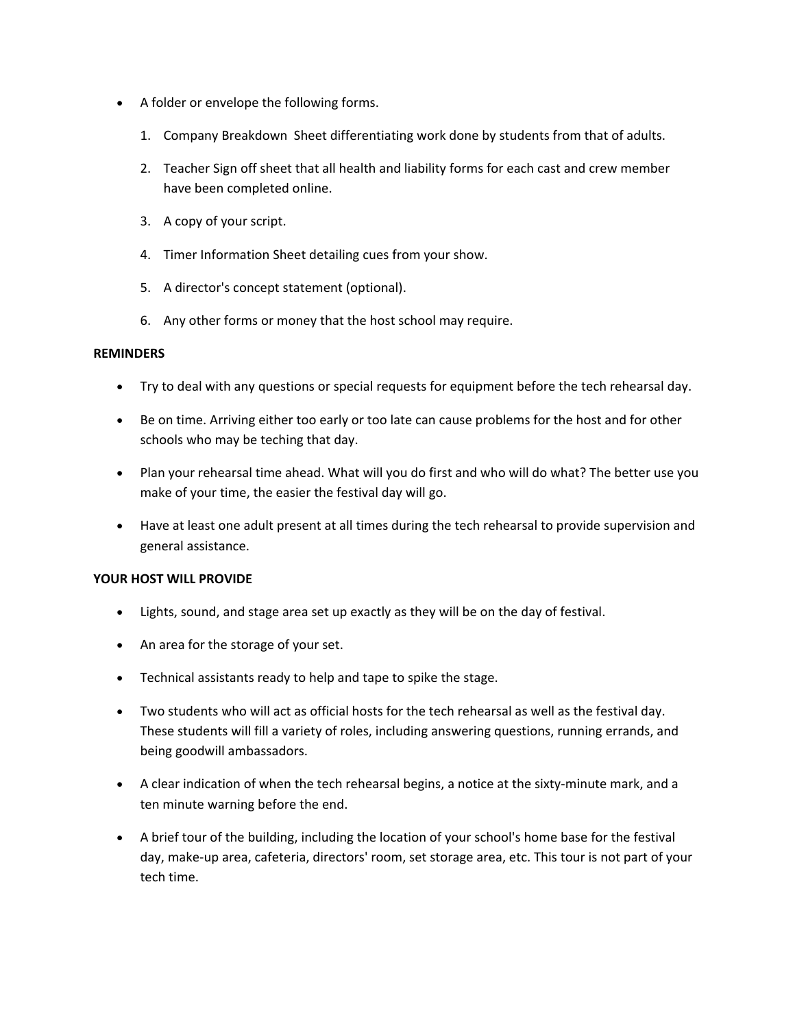- A folder or envelope the following forms.
	- 1. Company Breakdown Sheet differentiating work done by students from that of adults.
	- 2. Teacher Sign off sheet that all health and liability forms for each cast and crew member have been completed online.
	- 3. A copy of your script.
	- 4. Timer Information Sheet detailing cues from your show.
	- 5. A director's concept statement (optional).
	- 6. Any other forms or money that the host school may require.

# **REMINDERS**

- Try to deal with any questions or special requests for equipment before the tech rehearsal day.
- Be on time. Arriving either too early or too late can cause problems for the host and for other schools who may be teching that day.
- Plan your rehearsal time ahead. What will you do first and who will do what? The better use you make of your time, the easier the festival day will go.
- Have at least one adult present at all times during the tech rehearsal to provide supervision and general assistance.

# **YOUR HOST WILL PROVIDE**

- Lights, sound, and stage area set up exactly as they will be on the day of festival.
- An area for the storage of your set.
- Technical assistants ready to help and tape to spike the stage.
- Two students who will act as official hosts for the tech rehearsal as well as the festival day. These students will fill a variety of roles, including answering questions, running errands, and being goodwill ambassadors.
- A clear indication of when the tech rehearsal begins, a notice at the sixty-minute mark, and a ten minute warning before the end.
- A brief tour of the building, including the location of your school's home base for the festival day, make‐up area, cafeteria, directors' room, set storage area, etc. This tour is not part of your tech time.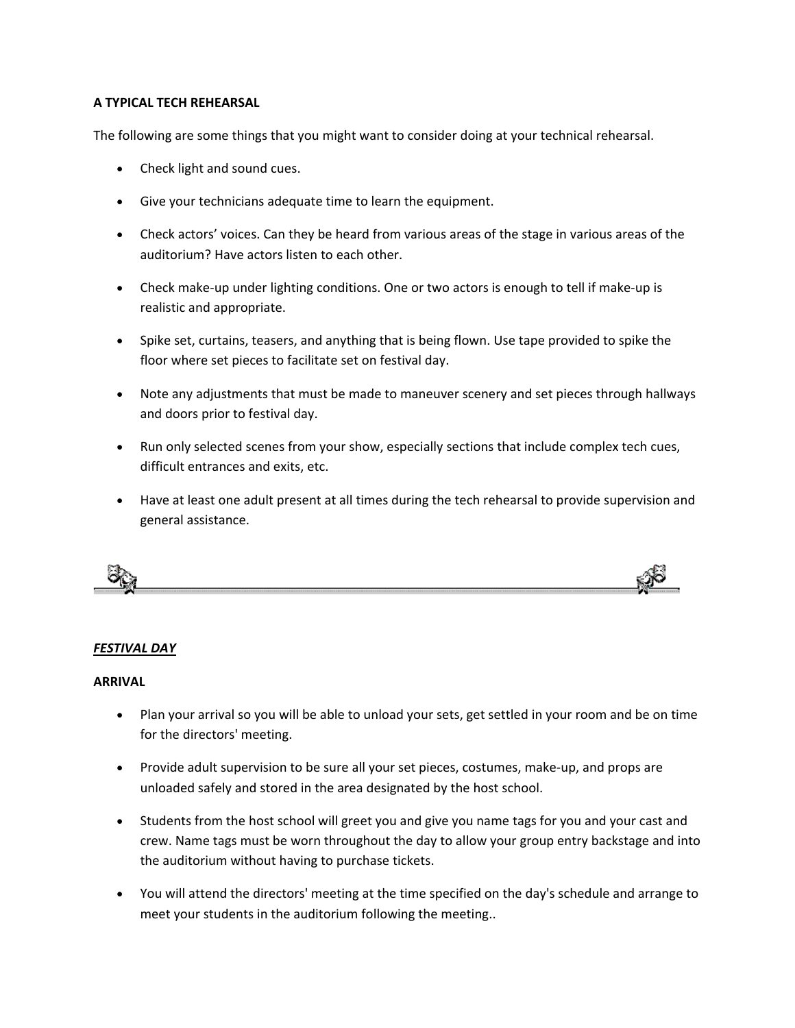# **A TYPICAL TECH REHEARSAL**

The following are some things that you might want to consider doing at your technical rehearsal.

- Check light and sound cues.
- Give your technicians adequate time to learn the equipment.
- Check actors' voices. Can they be heard from various areas of the stage in various areas of the auditorium? Have actors listen to each other.
- Check make-up under lighting conditions. One or two actors is enough to tell if make-up is realistic and appropriate.
- Spike set, curtains, teasers, and anything that is being flown. Use tape provided to spike the floor where set pieces to facilitate set on festival day.
- Note any adjustments that must be made to maneuver scenery and set pieces through hallways and doors prior to festival day.
- Run only selected scenes from your show, especially sections that include complex tech cues, difficult entrances and exits, etc.
- Have at least one adult present at all times during the tech rehearsal to provide supervision and general assistance.



# *FESTIVAL DAY*

# **ARRIVAL**

- Plan your arrival so you will be able to unload your sets, get settled in your room and be on time for the directors' meeting.
- Provide adult supervision to be sure all your set pieces, costumes, make-up, and props are unloaded safely and stored in the area designated by the host school.
- Students from the host school will greet you and give you name tags for you and your cast and crew. Name tags must be worn throughout the day to allow your group entry backstage and into the auditorium without having to purchase tickets.
- You will attend the directors' meeting at the time specified on the day's schedule and arrange to meet your students in the auditorium following the meeting..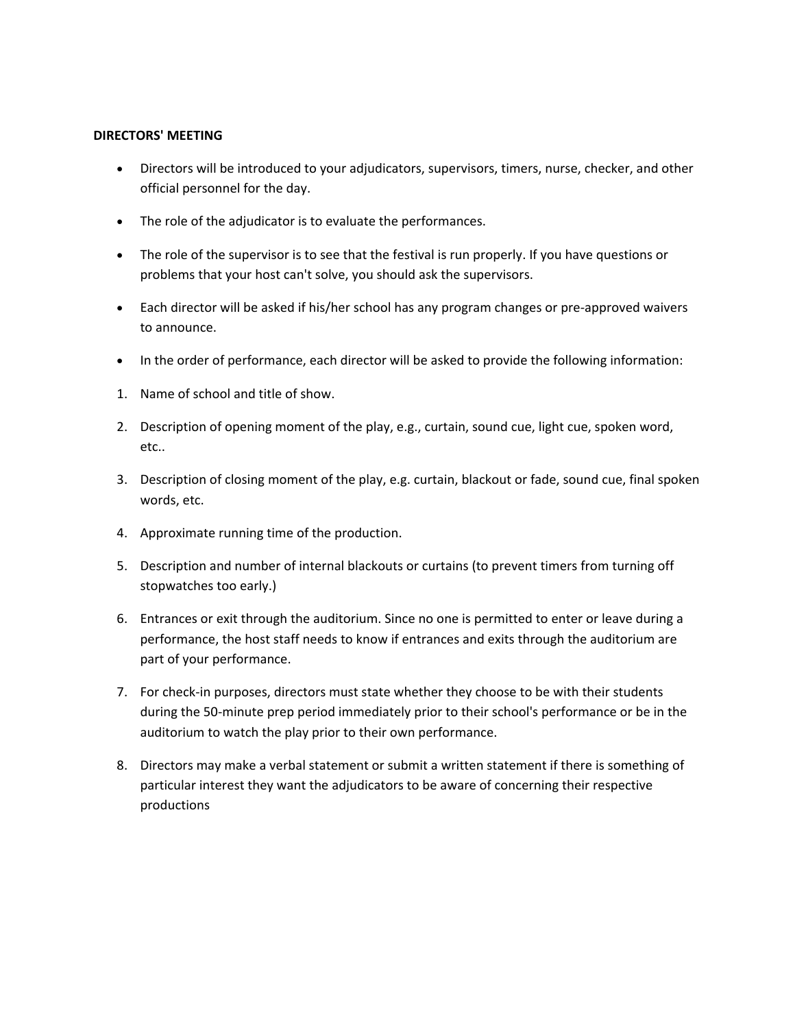#### **DIRECTORS' MEETING**

- Directors will be introduced to your adjudicators, supervisors, timers, nurse, checker, and other official personnel for the day.
- The role of the adjudicator is to evaluate the performances.
- The role of the supervisor is to see that the festival is run properly. If you have questions or problems that your host can't solve, you should ask the supervisors.
- Each director will be asked if his/her school has any program changes or pre-approved waivers to announce.
- In the order of performance, each director will be asked to provide the following information:
- 1. Name of school and title of show.
- 2. Description of opening moment of the play, e.g., curtain, sound cue, light cue, spoken word, etc..
- 3. Description of closing moment of the play, e.g. curtain, blackout or fade, sound cue, final spoken words, etc.
- 4. Approximate running time of the production.
- 5. Description and number of internal blackouts or curtains (to prevent timers from turning off stopwatches too early.)
- 6. Entrances or exit through the auditorium. Since no one is permitted to enter or leave during a performance, the host staff needs to know if entrances and exits through the auditorium are part of your performance.
- 7. For check-in purposes, directors must state whether they choose to be with their students during the 50‐minute prep period immediately prior to their school's performance or be in the auditorium to watch the play prior to their own performance.
- 8. Directors may make a verbal statement or submit a written statement if there is something of particular interest they want the adjudicators to be aware of concerning their respective productions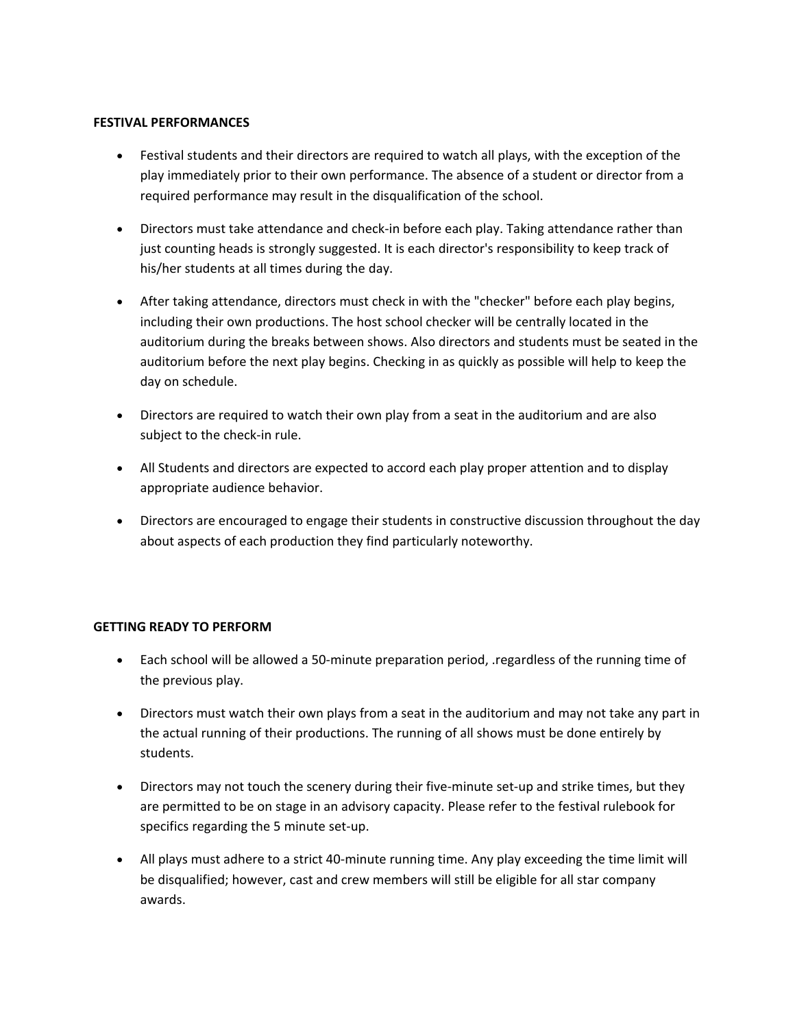#### **FESTIVAL PERFORMANCES**

- Festival students and their directors are required to watch all plays, with the exception of the play immediately prior to their own performance. The absence of a student or director from a required performance may result in the disqualification of the school.
- Directors must take attendance and check-in before each play. Taking attendance rather than just counting heads is strongly suggested. It is each director's responsibility to keep track of his/her students at all times during the day.
- After taking attendance, directors must check in with the "checker" before each play begins, including their own productions. The host school checker will be centrally located in the auditorium during the breaks between shows. Also directors and students must be seated in the auditorium before the next play begins. Checking in as quickly as possible will help to keep the day on schedule.
- Directors are required to watch their own play from a seat in the auditorium and are also subject to the check-in rule.
- All Students and directors are expected to accord each play proper attention and to display appropriate audience behavior.
- Directors are encouraged to engage their students in constructive discussion throughout the day about aspects of each production they find particularly noteworthy.

# **GETTING READY TO PERFORM**

- Each school will be allowed a 50‐minute preparation period, .regardless of the running time of the previous play.
- Directors must watch their own plays from a seat in the auditorium and may not take any part in the actual running of their productions. The running of all shows must be done entirely by students.
- Directors may not touch the scenery during their five-minute set-up and strike times, but they are permitted to be on stage in an advisory capacity. Please refer to the festival rulebook for specifics regarding the 5 minute set‐up.
- All plays must adhere to a strict 40-minute running time. Any play exceeding the time limit will be disqualified; however, cast and crew members will still be eligible for all star company awards.